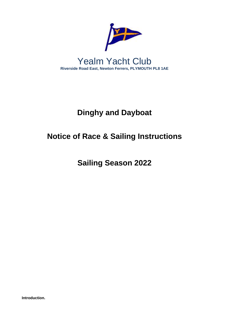

# **Dinghy and Dayboat**

# **Notice of Race & Sailing Instructions**

**Sailing Season 2022**

**Introduction.**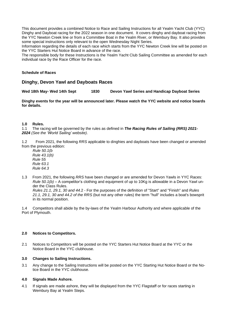This document provides a combined Notice to Race and Sailing Instructions for all Yealm Yacht Club (YYC) Dinghy and Dayboat racing for the 2022 season in one document. It covers dinghy and dayboat racing from the YYC Newton Creek line or from a Committee Boat in the Yealm River, or Wembury Bay. It also provides some special instructions only relevant to the open Wednesday Night Series.

Information regarding the details of each race which starts from the YYC Newton Creek line will be posted on the YYC Starters Hut Notice Board in advance of the race.

The responsible body for these Instructions is the Yealm Yacht Club Sailing Committee as amended for each individual race by the Race Officer for the race.

#### **Schedule of Races**

## **Dinghy, Devon Yawl and Dayboats Races**

**Wed 18th May- Wed 14th Sept 1830 Devon Yawl Series and Handicap Dayboat Series**

**Dinghy events for the year will be announced later. Please watch the YYC website and notice boards for details.**

#### **1.0 Rules.**

1.1 The racing will be governed by the rules as defined in *The Racing Rules of Sailing (RRS) 2021- 2024 (See the 'World Sailing' website)*.

1.2 From 2021, the following *RRS* applicable to dinghies and dayboats have been changed or amended from the previous edition:

*Rule 50.1(b Rule 43.1(b) Rule 55 Rule 63.1 Rule 64.3*

1.3 From 2021, the following *RRS* have been changed or are amended for Devon Yawls in YYC Races: *Rule 50.1(b)* – A competitor's clothing and equipment of up to 10Kg is allowable in a Devon Yawl under the Class Rules. *Rules 21.1, 29.1, 30 and 44.*2 - For the purposes of the definition of "Start" and "Finish" and *Rules*

*21.1, 29.1, 30 and 44.2 of the RRS* (but not any other rules) the term "hull" includes a boat's bowsprit in its normal position.

1.4 Competitors shall abide by the by-laws of the Yealm Harbour Authority and where applicable of the Port of Plymouth.

### **2.0 Notices to Competitors.**

2.1 Notices to Competitors will be posted on the YYC Starters Hut Notice Board at the YYC or the Notice Board in the YYC clubhouse.

### **3.0 Changes to Sailing Instructions.**

3.1 Any change to the Sailing Instructions will be posted on the YYC Starting Hut Notice Board or the Notice Board in the YYC clubhouse.

#### **4.0 Signals Made Ashore.**

4.1 If signals are made ashore, they will be displayed from the YYC Flagstaff or for races starting in Wembury Bay at Yealm Steps.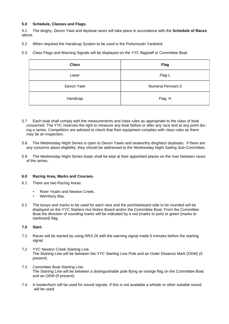#### **5.0 Schedule, Classes and Flags.**

5.1 The dinghy, Devon Yawl and dayboat races will take place in accordance with the **Schedule of Races** above.

5.2 When required the Handicap System to be used is the Portsmouth Yardstick.

5.3 Class Flags and Warning Signals will be displayed on the YYC flagstaff or Committee Boat:

| <b>Class</b> | <b>Flag</b>              |  |
|--------------|--------------------------|--|
| Laser        | Flag L                   |  |
| Devon Yawl   | <b>Numeral Pennant 3</b> |  |
| Handicap     | Flag H                   |  |

- 5.7 Each boat shall comply with the measurements and class rules as appropriate to the class of boat concerned. The YYC reserves the right to measure any boat before or after any race and at any point during a series. Competitors are advised to check that their equipment complies with class rules as there may be an inspection.
- 5.8 The Wednesday Night Series is open to Devon Yawls and seaworthy dinghies/ dayboats. If there are any concerns about eligibility, they should be addressed to the Wednesday Night Sailing Sub-Committee.
- 5.9 The Wednesday Night Series boats shall be kept at their appointed places on the river between races of the series.

#### **6.0 Racing Area, Marks and Courses.**

- 6.1 There are two Racing Areas:
	- River Yealm and Newton Creek.
	- Wembury Bay.
- 6.2 The buoys and marks to be used for each race and the port/starboard side to be rounded will be displayed on the YYC Starters Hut Notice Board and/or the Committee Boat. From the Committee Boat the direction of rounding marks will be indicated by a red (marks to port) or green (marks to starboard) flag.

#### **7.0 Start.**

.

- 7.1 Races will be started by using *RRS 26* with the warning signal made 5 minutes before the starting signal.
- 7.2 YYC Newton Creek Starting Line. The Starting Line will be between the YYC Starting Line Pole and an Outer Distance Mark (ODM) (if present).
- 7.3 Committee Boat Starting Line. The Starting Line will be between a distinguishable pole flying an orange flag on the Committee Boat and an ODM (If present).
- 7.4 A hooter/horn will be used for sound signals. If this is not available a whistle or other suitable sound will be used.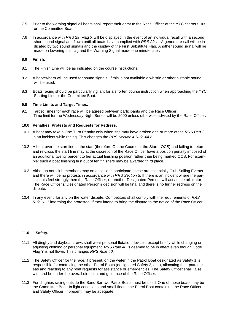- 7.5 Prior to the warning signal all boats shall report their entry to the Race Officer at the YYC Starters Hut or the Committee Boat.
- 7.6 In accordance with *RRS 29*, Flag X will be displayed in the event of an individual recall with a second short sound signal and flown until all boats have complied with *RRS 29.1.* A general re-call will be indicated by two sound signals and the display of the First Substitute Flag. Another sound signal will be made on lowering this flag and the Warning Signal made one minute later.

#### **8.0 Finish.**

- 8.1 The Finish Line will be as indicated on the course instructions.
- 8.2 A hooter/horn will be used for sound signals. If this is not available a whistle or other suitable sound will be used.
- 8.3 Boats racing should be particularly vigilant for a shorten course instruction when approaching the YYC Starting Line or the Committee Boat.

#### **9.0 Time Limits and Target Times.**

9.1 Target Times for each race will be agreed between participants and the Race Officer. Time limit for the Wednesday Night Series will be 2000 unless otherwise advised by the Race Officer.

#### **10.0 Penalties, Protests and Requests for Redress.**

- 10.1 A boat may take a One Turn Penalty only when she may have broken one or more of the *RRS Part 2* in an incident while racing. This changes the *RRS Section 4 Rule 44.2*.
- 10.2 A boat over the start line at the start (therefore On the Course at the Start OCS) and failing to return and re-cross the start line may at the discretion of the Race Officer have a position penalty imposed of an additional twenty percent to her actual finishing position rather than being marked OCS. For example: such a boat finishing first out of ten finishers may be awarded third place.
- 10.3 Although non club members may on occasions participate, these are essentially Club Sailing Events and there will be no protests in accordance with *RRS Section* 5. If there is an incident where the participants feel strongly then the Race Officer, or another Designated Person, will act as the arbitrator. The Race Officer's/ Designated Person's decision will be final and there is no further redress on the dispute.
- 10.4 In any event, for any on the water dispute, Competitors shall comply with the requirements of *RRS Rule 61.1* informing the protestee, if they intend to bring the dispute to the notice of the Race Officer.

#### **11.0 Safety.**

- 11.1 All dinghy and dayboat crews shall wear personal flotation devices, except briefly while changing or adjusting clothing or personal equipment. *RRS Rule 40* is deemed to be in effect even though Code Flag Y is not flown. This changes *RRS Rule 40*.
- 11.2 The Safety Officer for the race, if present, on the water in the Patrol Boat designated as Safety 1 is responsible for controlling the other Patrol Boats (designated Safety 2, etc,), allocating their patrol areas and reacting to any boat requests for assistance or emergencies. The Safety Officer shall liaise with and be under the overall direction and guidance of the Race Officer.
- 11.3 For dinghies racing outside the Sand Bar two Patrol Boats must be used. One of those boats may be the Committee Boat. In light conditions and small fleets one Patrol Boat containing the Race Officer and Safety Officer, if present, may be adequate.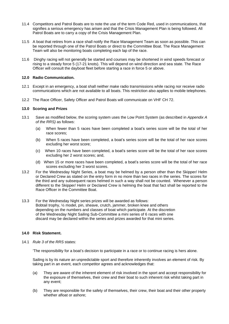- 11.4 Competitors and Patrol Boats are to note the use of the term Code Red, used in communications, that signifies a serious emergency has arisen and that the Crisis Management Plan is being followed. All Patrol Boats are to carry a copy of the Crisis Management Plan.
- 11.5 A boat that retires from a race shall notify the Race Management Team as soon as possible. This can be reported through one of the Patrol Boats or direct to the Committee Boat. The Race Management Team will also be monitoring boats completing each lap of the race.
- 11.6 Dinghy racing will not generally be started and courses may be shortened in wind speeds forecast or rising to a steady force 5 (17-21 knots). This will depend on wind direction and sea state. The Race Officer will consult the dayboat fleet before starting a race in force 5 or above.

#### **12.0 Radio Communication.**

- 12.1 Except in an emergency, a boat shall neither make radio transmissions while racing nor receive radio communications which are not available to all boats. This restriction also applies to mobile telephones.
- 12.2 The Race Officer, Safety Officer and Patrol Boats will communicate on VHF CH 72.

#### **13.0 Scoring and Prizes**

- 13.1 Save as modified below, the scoring system uses the Low Point System (as described in *Appendix A of the RRS)* as follows:
	- (a) When fewer than 5 races have been completed a boat's series score will be the total of her race scores;
	- (b) When 5 races have been completed, a boat's series score will be the total of her race scores excluding her worst score;
	- (c) When 10 races have been completed, a boat's series score will be the total of her race scores excluding her 2 worst scores; and,
	- (d) When 15 or more races have been completed, a boat's series score will be the total of her race scores excluding her 3 worst scores.
- 13.2 For the Wednesday Night Series, a boat may be helmed by a person other than the Skipper/ Helm or Declared Crew as stated on the entry form in no more than two races in the series. The scores for the third and any subsequent races helmed in such a way shall not be counted. Whenever a person different to the Skipper/ Helm or Declared Crew is helming the boat that fact shall be reported to the Race Officer in the Committee Boat.
- 13.3 For the Wednesday Night series prizes will be awarded as follows: Bobtail trophy, ½ model, pin, sheave, crutch, jammer, broken knee and others depending on the numbers and classes of boat which participate. At the discretion of the Wednesday Night Sailing Sub-Committee a mini series of 6 races with one discard may be declared within the series and prizes awarded for that mini series.

#### **14.0 Risk Statement.**

14.1 *Rule 3 of the RRS* states:

'The responsibility for a boat's decision to participate in a race or to continue racing is hers alone.

Sailing is by its nature an unpredictable sport and therefore inherently involves an element of risk. By taking part in an event, each competitor agrees and acknowledges that:

- (a) They are aware of the inherent element of risk involved in the sport and accept responsibility for the exposure of themselves, their crew and their boat to such inherent risk whilst taking part in any event;
- (b) They are responsible for the safety of themselves, their crew, their boat and their other property whether afloat or ashore;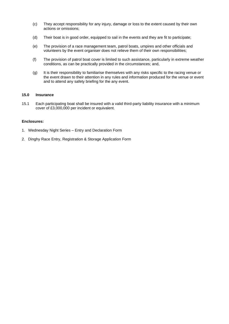- (c) They accept responsibility for any injury, damage or loss to the extent caused by their own actions or omissions;
- (d) Their boat is in good order, equipped to sail in the events and they are fit to participate;
- (e) The provision of a race management team, patrol boats, umpires and other officials and volunteers by the event organiser does not relieve them of their own responsibilities;
- (f) The provision of patrol boat cover is limited to such assistance, particularly in extreme weather conditions, as can be practically provided in the circumstances; and,
- (g) It is their responsibility to familiarise themselves with any risks specific to the racing venue or the event drawn to their attention in any rules and information produced for the venue or event and to attend any safety briefing for the any event.

#### **15.0 Insurance**

15.1 Each participating boat shall be insured with a valid third-party liability insurance with a minimum cover of £3,000,000 per incident or equivalent.

#### **Enclosures:**

- 1. Wednesday Night Series Entry and Declaration Form
- 2. Dinghy Race Entry, Registration & Storage Application Form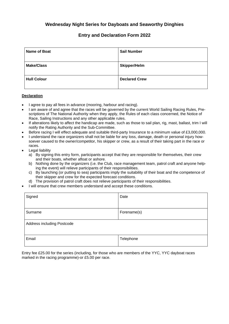# **Wednesday Night Series for Dayboats and Seaworthy Dinghies**

## **Entry and Declaration Form 2022**

| <b>Name of Boat</b> | <b>Sail Number</b>   |
|---------------------|----------------------|
| <b>Make/Class</b>   | <b>Skipper/Helm</b>  |
| <b>Hull Colour</b>  | <b>Declared Crew</b> |

#### **Declaration**

- I agree to pay all fees in advance (mooring, harbour and racing).
- I am aware of and agree that the races will be governed by the current World Sailing Racing Rules, Prescriptions of The National Authority when they apply, the Rules of each class concerned, the Notice of Race, Sailing Instructions and any other applicable rules.
- If alterations likely to affect the handicap are made, such as those to sail plan, rig, mast, ballast, trim I will notify the Rating Authority and the Sub-Committee.
- Before racing I will effect adequate and suitable third-party Insurance to a minimum value of £3,000,000.
- I understand the race organizers shall not be liable for any loss, damage, death or personal injury howsoever caused to the owner/competitor, his skipper or crew, as a result of their taking part in the race or races.
- **Legal liability** 
	- a) By signing this entry form, participants accept that they are responsible for themselves, their crew and their boats, whether afloat or ashore.
	- b) Nothing done by the organizers (i.e. the Club, race management team, patrol craft and anyone helping the event) will relieve participants of their responsibilities.
	- c) By launching (or putting to sea) participants imply the suitability of their boat and the competence of their skipper and crew for the expected forecast conditions.
	- d) The provision of patrol craft does not relieve participants of their responsibilities.
- I will ensure that crew members understand and accept these conditions.

| Signed                     | Date        |
|----------------------------|-------------|
| Surname                    | Forename(s) |
| Address including Postcode |             |
| Email                      | Telephone   |

Entry fee £25.00 for the series (including, for those who are members of the YYC, YYC dayboat races marked in the racing programme)-or £5.00 per race.